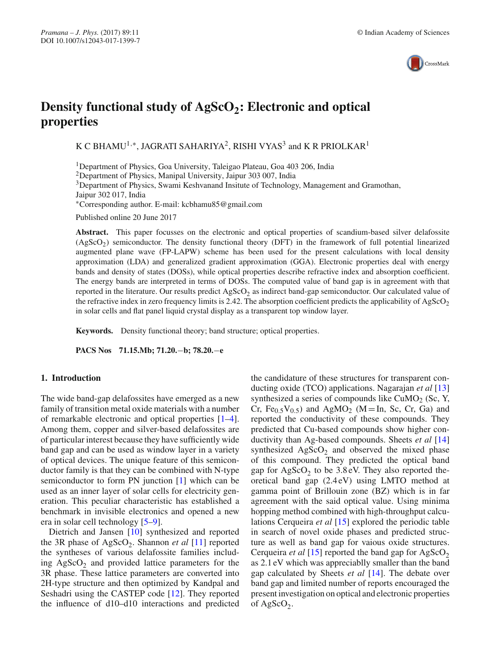

# **Density functional study of AgScO<sub>2</sub>: Electronic and optical properties**

K C BHAMU<sup>1,∗</sup>, JAGRATI SAHARIYA<sup>2</sup>, RISHI VYAS<sup>3</sup> and K R PRIOLKAR<sup>1</sup>

1Department of Physics, Goa University, Taleigao Plateau, Goa 403 206, India

2Department of Physics, Manipal University, Jaipur 303 007, India

3Department of Physics, Swami Keshvanand Insitute of Technology, Management and Gramothan,

Jaipur 302 017, India

∗Corresponding author. E-mail: kcbhamu85@gmail.com

Published online 20 June 2017

**Abstract.** This paper focusses on the electronic and optical properties of scandium-based silver delafossite  $(AgScO<sub>2</sub>)$  semiconductor. The density functional theory (DFT) in the framework of full potential linearized augmented plane wave (FP-LAPW) scheme has been used for the present calculations with local density approximation (LDA) and generalized gradient approximation (GGA). Electronic properties deal with energy bands and density of states (DOSs), while optical properties describe refractive index and absorption coefficient. The energy bands are interpreted in terms of DOSs. The computed value of band gap is in agreement with that reported in the literature. Our results predict  $AgScO<sub>2</sub>$  as indirect band-gap semiconductor. Our calculated value of the refractive index in zero frequency limits is 2.42. The absorption coefficient predicts the applicability of  $AgScO<sub>2</sub>$ in solar cells and flat panel liquid crystal display as a transparent top window layer.

**Keywords.** Density functional theory; band structure; optical properties.

**PACS Nos 71.15.Mb; 71.20.**−**b; 78.20.**−**e**

#### **1. Introduction**

The wide band-gap delafossites have emerged as a new family of transition metal oxide materials with a number of remarkable electronic and optical properties [1–4]. Among them, copper and silver-based delafossites are of particular interest because they have sufficiently wide band gap and can be used as window layer in a variety of optical devices. The unique feature of this semiconductor family is that they can be combined with N-type semiconductor to form PN junction [1] which can be used as an inner layer of solar cells for electricity generation. This peculiar characteristic has established a benchmark in invisible electronics and opened a new era in solar cell technology [5–9].

Dietrich and Jansen [10] synthesized and reported the 3R phase of AgScO<sub>2</sub>. Shannon *et al* [11] reported the syntheses of various delafossite families including  $AgScO<sub>2</sub>$  and provided lattice parameters for the 3R phase. These lattice parameters are converted into 2H-type structure and then optimized by Kandpal and Seshadri using the CASTEP code [12]. They reported the influence of d10–d10 interactions and predicted the candidature of these structures for transparent conducting oxide (TCO) applications. Nagarajan *et al* [13] synthesized a series of compounds like  $CuMO<sub>2</sub>$  (Sc, Y, Cr,  $Fe_{0.5}V_{0.5}$ ) and  $AgMO_2$  (M = In, Sc, Cr, Ga) and reported the conductivity of these compounds. They predicted that Cu-based compounds show higher conductivity than Ag-based compounds. Sheets *et al* [14] synthesized  $AgScO<sub>2</sub>$  and observed the mixed phase of this compound. They predicted the optical band gap for  $AgScO<sub>2</sub>$  to be 3.8 eV. They also reported theoretical band gap (2.4 eV) using LMTO method at gamma point of Brillouin zone (BZ) which is in far agreement with the said optical value. Using minima hopping method combined with high-throughput calculations Cerqueira *et al* [15] explored the periodic table in search of novel oxide phases and predicted structure as well as band gap for vaious oxide structures. Cerqueira *et al* [15] reported the band gap for  $AgScO<sub>2</sub>$ as 2.1 eV which was appreciablly smaller than the band gap calculated by Sheets *et al* [14]. The debate over band gap and limited number of reports encouraged the present investigation on optical and electronic properties of AgScO<sub>2</sub>.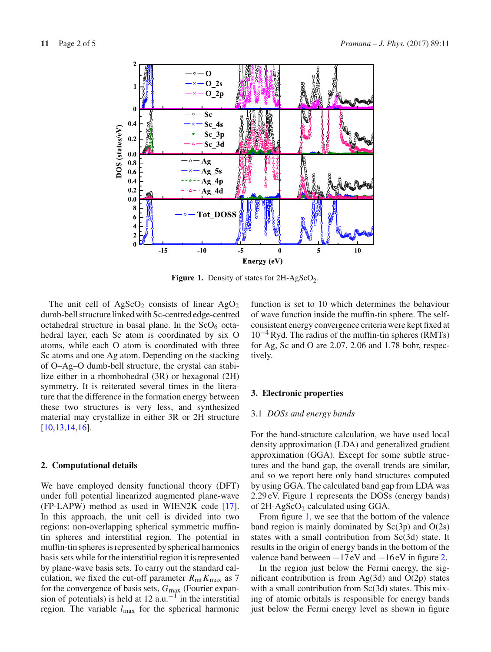

**Figure 1.** Density of states for  $2H-AgScO<sub>2</sub>$ .

The unit cell of  $AgScO<sub>2</sub>$  consists of linear  $AgO<sub>2</sub>$ dumb-bell structure linked with Sc-centred edge-centred octahedral structure in basal plane. In the  $ScO<sub>6</sub>$  octahedral layer, each Sc atom is coordinated by six O atoms, while each O atom is coordinated with three Sc atoms and one Ag atom. Depending on the stacking of O–Ag–O dumb-bell structure, the crystal can stabilize either in a rhombohedral (3R) or hexagonal (2H) symmetry. It is reiterated several times in the literature that the difference in the formation energy between these two structures is very less, and synthesized material may crystallize in either 3R or 2H structure [10,13,14,16].

## **2. Computational details**

We have employed density functional theory (DFT) under full potential linearized augmented plane-wave (FP-LAPW) method as used in WIEN2K code [17]. In this approach, the unit cell is divided into two regions: non-overlapping spherical symmetric muffintin spheres and interstitial region. The potential in muffin-tin spheres is represented by spherical harmonics basis sets while for the interstitial region it is represented by plane-wave basis sets. To carry out the standard calculation, we fixed the cut-off parameter  $R_{\text{mt}}K_{\text{max}}$  as 7 for the convergence of basis sets, *G*max (Fourier expansion of potentials) is held at 12  $a.u.^{-1}$  in the interstitial region. The variable *l*max for the spherical harmonic function is set to 10 which determines the behaviour of wave function inside the muffin-tin sphere. The selfconsistent energy convergence criteria were kept fixed at  $10^{-4}$  Ryd. The radius of the muffin-tin spheres (RMTs) for Ag, Sc and O are 2.07, 2.06 and 1.78 bohr, respectively.

#### **3. Electronic properties**

# 3.1 *DOSs and energy bands*

For the band-structure calculation, we have used local density approximation (LDA) and generalized gradient approximation (GGA). Except for some subtle structures and the band gap, the overall trends are similar, and so we report here only band structures computed by using GGA. The calculated band gap from LDA was 2.29 eV. Figure 1 represents the DOSs (energy bands) of  $2H$ -AgScO<sub>2</sub> calculated using GGA.

From figure 1, we see that the bottom of the valence band region is mainly dominated by  $Sc(3p)$  and  $O(2s)$ states with a small contribution from Sc(3d) state. It results in the origin of energy bands in the bottom of the valence band between  $-17$  eV and  $-16$  eV in figure 2.

In the region just below the Fermi energy, the significant contribution is from  $Ag(3d)$  and  $O(2p)$  states with a small contribution from Sc(3d) states. This mixing of atomic orbitals is responsible for energy bands just below the Fermi energy level as shown in figure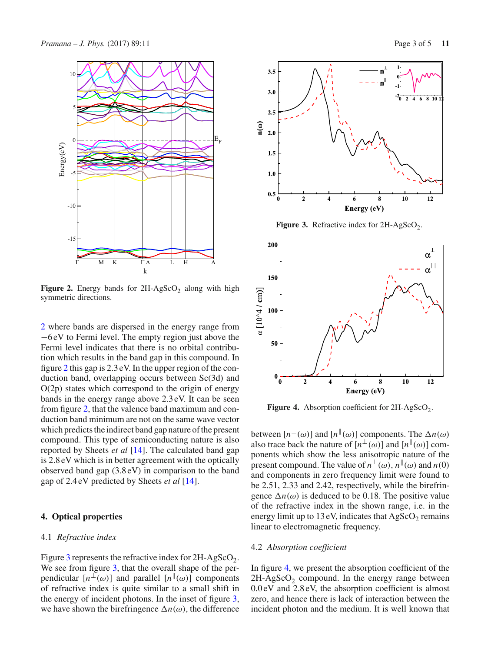

**Figure 2.** Energy bands for  $2H-AgScO<sub>2</sub>$  along with high symmetric directions.

2 where bands are dispersed in the energy range from −6 eV to Fermi level. The empty region just above the Fermi level indicates that there is no orbital contribution which results in the band gap in this compound. In figure 2 this gap is 2.3 eV. In the upper region of the conduction band, overlapping occurs between Sc(3d) and  $O(2p)$  states which correspond to the origin of energy bands in the energy range above 2.3 eV. It can be seen from figure 2, that the valence band maximum and conduction band minimum are not on the same wave vector which predicts the indirect band gap nature of the present compound. This type of semiconducting nature is also reported by Sheets *et al* [14]. The calculated band gap is 2.8 eV which is in better agreement with the optically observed band gap (3.8 eV) in comparison to the band gap of 2.4 eV predicted by Sheets *et al* [14].

# **4. Optical properties**

## 4.1 *Refractive index*

Figure 3 represents the refractive index for  $2H-AgScO<sub>2</sub>$ . We see from figure 3, that the overall shape of the perpendicular  $[n^{\perp}(\omega)]$  and parallel  $[n^{\parallel}(\omega)]$  components of refractive index is quite similar to a small shift in the energy of incident photons. In the inset of figure 3, we have shown the birefringence  $\Delta n(\omega)$ , the difference





 $3.5$ 

 $3.0$ 

**Figure 3.** Refractive index for  $2H-AgScO<sub>2</sub>$ .



**Figure 4.** Absorption coefficient for  $2H-AgScO<sub>2</sub>$ .

between  $[n^{\perp}(\omega)]$  and  $[n^{\parallel}(\omega)]$  components. The  $\Delta n(\omega)$ also trace back the nature of  $[n^{\perp}(\omega)]$  and  $[n^{\parallel}(\omega)]$  components which show the less anisotropic nature of the present compound. The value of  $n^{\perp}(\omega)$ ,  $n^{\parallel}(\omega)$  and  $n(0)$ and components in zero frequency limit were found to be 2.51, 2.33 and 2.42, respectively, while the birefringence  $\Delta n(\omega)$  is deduced to be 0.18. The positive value of the refractive index in the shown range, i.e. in the energy limit up to 13 eV, indicates that  $AgScO<sub>2</sub>$  remains linear to electromagnetic frequency.

#### 4.2 *Absorption coefficient*

In figure 4, we present the absorption coefficient of the  $2H-AgScO<sub>2</sub>$  compound. In the energy range between 0.0 eV and 2.8 eV, the absorption coefficient is almost zero, and hence there is lack of interaction between the incident photon and the medium. It is well known that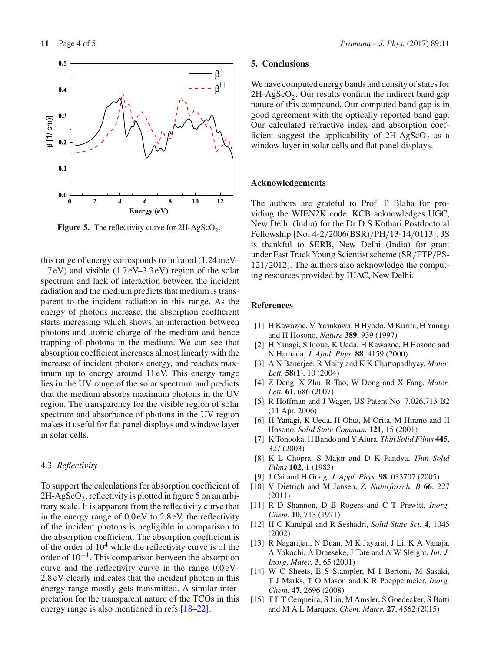

**Figure 5.** The reflectivity curve for  $2H-AgScO<sub>2</sub>$ .

this range of energy corresponds to infrared (1.24 meV– 1.7 eV) and visible (1.7 eV–3.3 eV) region of the solar spectrum and lack of interaction between the incident radiation and the medium predicts that medium is transparent to the incident radiation in this range. As the energy of photons increase, the absorption coefficient starts increasing which shows an interaction between photons and atomic charge of the medium and hence trapping of photons in the medium. We can see that absorption coefficient increases almost linearly with the increase of incident photons energy, and reaches maximum up to energy around 11 eV. This energy range lies in the UV range of the solar spectrum and predicts that the medium absorbs maximum photons in the UV region. The transparency for the visible region of solar spectrum and absorbance of photons in the UV region makes it useful for flat panel displays and window layer in solar cells.

## 4.3 *Reflectivity*

To support the calculations for absorption coefficient of  $2H-AgScO<sub>2</sub>$ , reflectivity is plotted in figure 5 on an arbitrary scale. It is apparent from the reflectivity curve that in the energy range of 0.0 eV to 2.8 eV, the reflectivity of the incident photons is negligible in comparison to the absorption coefficient. The absorption coefficient is of the order of  $10<sup>4</sup>$  while the reflectivity curve is of the order of  $10^{-1}$ . This comparison between the absorption curve and the reflectivity curve in the range 0.0 eV– 2.8 eV clearly indicates that the incident photon in this energy range mostly gets transmitted. A similar interpretation for the transparent nature of the TCOs in this energy range is also mentioned in refs [18–22].

## **5. Conclusions**

We have computed energy bands and density of states for  $2H-AgScO<sub>2</sub>$ . Our results confirm the indirect band gap nature of this compound. Our computed band gap is in good agreement with the optically reported band gap. Our calculated refractive index and absorption coefficient suggest the applicability of  $2H-AgScO<sub>2</sub>$  as a window layer in solar cells and flat panel displays.

#### **Acknowledgements**

The authors are grateful to Prof. P Blaha for providing the WIEN2K code. KCB acknowledges UGC, New Delhi (India) for the Dr D S Kothari Postdoctoral Fellowship [No. 4-2/2006(BSR)/PH/13-14/0113]. JS is thankful to SERB, New Delhi (India) for grant under Fast Track Young Scientist scheme (SR/FTP/PS-121/2012). The authors also acknowledge the computing resources provided by IUAC, New Delhi.

# **References**

- [1] H Kawazoe, M Yasukawa, H Hyodo, M Kurita, H Yanagi and H Hosono, *Nature* **389**, 939 (1997)
- [2] H Yanagi, S Inoue, K Ueda, H Kawazoe, H Hosono and N Hamada, *J. Appl. Phys.* **88**, 4159 (2000)
- [3] A N Banerjee, R Maity and K K Chattopadhyay, *Mater. Lett.* **58**(**1**), 10 (2004)
- [4] Z Deng, X Zhu, R Tao, W Dong and X Fang, *Mater. Lett.* **61**, 686 (2007)
- [5] R Hoffman and J Wager, US Patent No. 7,026,713 B2 (11 Apr. 2006)
- [6] H Yanagi, K Ueda, H Ohta, M Orita, M Hirano and H Hosono, *Solid State Commun.* **121**, 15 (2001)
- [7] K Tonooka, H Bando and Y Aiura, *Thin Solid Films* **445**, 327 (2003)
- [8] K L Chopra, S Major and D K Pandya, *Thin Solid Films* **102**, 1 (1983)
- [9] J Cai and H Gong, *J. Appl. Phys.* **98**, 033707 (2005)
- [10] V Dietrich and M Jansen, *Z. Naturforsch. B* **66**, 227 (2011)
- [11] R D Shannon, D B Rogers and C T Prewitt, *Inorg. Chem.* **10**, 713 (1971)
- [12] H C Kandpal and R Seshadri, *Solid State Sci.* **4**, 1045 (2002)
- [13] R Nagarajan, N Duan, M K Jayaraj, J Li, K A Vanaja, A Yokochi, A Draeseke, J Tate and A W Sleight, *Int. J. Inorg. Mater.* **3**, 65 (2001)
- [14] W C Sheets, E S Stampler, M I Bertoni, M Sasaki, T J Marks, T O Mason and K R Poeppelmeier, *Inorg. Chem.* **47**, 2696 (2008)
- [15] T F T Cerqueira, S Lin, M Amsler, S Goedecker, S Botti and M A L Marques, *Chem. Mater.* **27**, 4562 (2015)